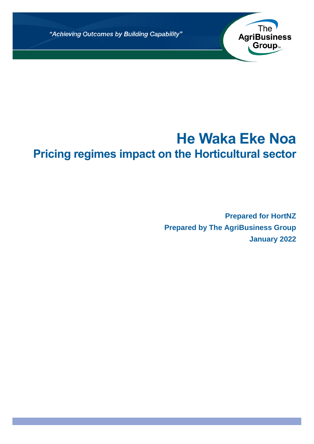"Achieving Outcomes by Building Capability"

# **He Waka Eke Noa Pricing regimes impact on the Horticultural sector**

**Prepared for HortNZ Prepared by The AgriBusiness Group January 2022**

The<br>AgriBusiness

Group<sub>™</sub>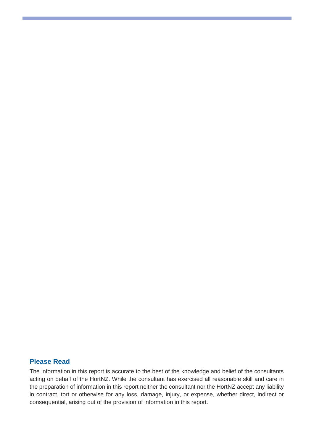## **Please Read**

The information in this report is accurate to the best of the knowledge and belief of the consultants acting on behalf of the HortNZ. While the consultant has exercised all reasonable skill and care in the preparation of information in this report neither the consultant nor the HortNZ accept any liability in contract, tort or otherwise for any loss, damage, injury, or expense, whether direct, indirect or consequential, arising out of the provision of information in this report.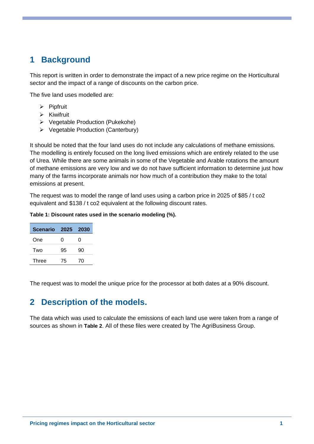# **1 Background**

This report is written in order to demonstrate the impact of a new price regime on the Horticultural sector and the impact of a range of discounts on the carbon price.

The five land uses modelled are:

- ➢ Pipfruit
- ➢ Kiwifruit
- ➢ Vegetable Production (Pukekohe)
- ➢ Vegetable Production (Canterbury)

It should be noted that the four land uses do not include any calculations of methane emissions. The modelling is entirely focused on the long lived emissions which are entirely related to the use of Urea. While there are some animals in some of the Vegetable and Arable rotations the amount of methane emissions are very low and we do not have sufficient information to determine just how many of the farms incorporate animals nor how much of a contribution they make to the total emissions at present.

The request was to model the range of land uses using a carbon price in 2025 of \$85 / t co2 equivalent and \$138 / t co2 equivalent at the following discount rates.

#### **Table 1: Discount rates used in the scenario modeling (%).**

| Scenario 2025 2030 |    |    |
|--------------------|----|----|
| One                | 0  | O  |
| Two                | 95 | 90 |
| Three              | 75 | 70 |

The request was to model the unique price for the processor at both dates at a 90% discount.

## **2 Description of the models.**

The data which was used to calculate the emissions of each land use were taken from a range of sources as shown in **[Table 2](#page-3-0)**. All of these files were created by The AgriBusiness Group.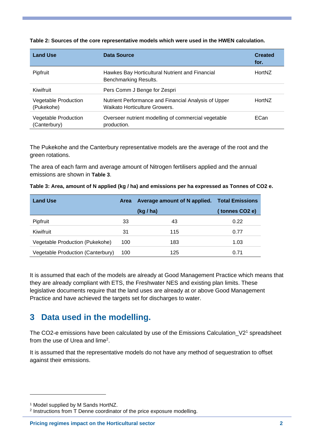| <b>Land Use</b>                      | Data Source                                                                           | <b>Created</b><br>for. |
|--------------------------------------|---------------------------------------------------------------------------------------|------------------------|
| Pipfruit                             | Hawkes Bay Horticultural Nutrient and Financial<br>Benchmarking Results.              | HortNZ                 |
| Kiwifruit                            | Pers Comm J Benge for Zespri                                                          |                        |
| Vegetable Production<br>(Pukekohe)   | Nutrient Performance and Financial Analysis of Upper<br>Waikato Horticulture Growers. | HortNZ                 |
| Vegetable Production<br>(Canterbury) | Overseer nutrient modelling of commercial vegetable<br>production.                    | ECan                   |

<span id="page-3-0"></span>**Table 2: Sources of the core representative models which were used in the HWEN calculation.**

The Pukekohe and the Canterbury representative models are the average of the root and the green rotations.

The area of each farm and average amount of Nitrogen fertilisers applied and the annual emissions are shown in **[Table 3](#page-3-1)**.

<span id="page-3-1"></span>

|  |  |  |  | Table 3: Area, amount of N applied (kg / ha) and emissions per ha expressed as Tonnes of CO2 e. |
|--|--|--|--|-------------------------------------------------------------------------------------------------|
|--|--|--|--|-------------------------------------------------------------------------------------------------|

| <b>Land Use</b>                   | Area | Average amount of N applied. | <b>Total Emissions</b> |
|-----------------------------------|------|------------------------------|------------------------|
|                                   |      | (kg / ha)                    | (tonnes CO2 e)         |
| Pipfruit                          | 33   | 43                           | 0.22                   |
| Kiwifruit                         | 31   | 115                          | 0.77                   |
| Vegetable Production (Pukekohe)   | 100  | 183                          | 1.03                   |
| Vegetable Production (Canterbury) | 100  | 125                          | 0.71                   |

It is assumed that each of the models are already at Good Management Practice which means that they are already compliant with ETS, the Freshwater NES and existing plan limits. These legislative documents require that the land uses are already at or above Good Management Practice and have achieved the targets set for discharges to water.

# **3 Data used in the modelling.**

The CO2-e emissions have been calculated by use of the Emissions Calculation  $V2<sup>1</sup>$  spreadsheet from the use of Urea and lime<sup>2</sup>.

It is assumed that the representative models do not have any method of sequestration to offset against their emissions.

<sup>1</sup> Model supplied by M Sands HortNZ.

<sup>2</sup> Instructions from T Denne coordinator of the price exposure modelling.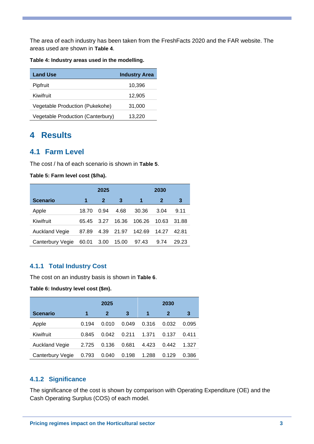The area of each industry has been taken from the FreshFacts 2020 and the FAR website. The areas used are shown in **[Table 4](#page-4-0)**.

<span id="page-4-0"></span>**Table 4: Industry areas used in the modelling.**

| <b>Land Use</b>                   | <b>Industry Area</b> |
|-----------------------------------|----------------------|
| Pipfruit                          | 10,396               |
| Kiwifruit                         | 12,905               |
| Vegetable Production (Pukekohe)   | 31,000               |
| Vegetable Production (Canterbury) | 13,220               |

# **4 Results**

## **4.1 Farm Level**

The cost / ha of each scenario is shown in **[Table 5](#page-4-1)**.

<span id="page-4-1"></span>**Table 5: Farm level cost (\$/ha).**

|                       | 2025  |              |       | 2030   |              |       |
|-----------------------|-------|--------------|-------|--------|--------------|-------|
| Scenario              | 1     | $\mathbf{2}$ | 3     | 1      | $\mathbf{2}$ | 3     |
| Apple                 | 18.70 | 0.94         | 4.68  | 30.36  | 3.04         | 9.11  |
| Kiwifruit             | 65.45 | 3.27         | 16.36 | 106.26 | 10.63        | 31.88 |
| <b>Auckland Vegie</b> | 87.89 | 4.39         | 21.97 | 142.69 | 14.27        | 42.81 |
| Canterbury Vegie      | 60.01 | 3.00         | 15.00 | 97.43  | 9.74         | 29.23 |

## **4.1.1 Total Industry Cost**

The cost on an industry basis is shown in **[Table 6](#page-4-2)**.

#### <span id="page-4-2"></span>**Table 6: Industry level cost (\$m).**

|                       | 2025  |       |       | 2030  |       |       |
|-----------------------|-------|-------|-------|-------|-------|-------|
| <b>Scenario</b>       | 1     | 2     | 3     | 1     | 2     | 3     |
| Apple                 | 0.194 | 0.010 | 0.049 | 0.316 | 0.032 | 0.095 |
| Kiwifruit             | 0.845 | 0.042 | 0.211 | 1.371 | 0.137 | 0.411 |
| <b>Auckland Vegie</b> | 2.725 | 0.136 | 0.681 | 4.423 | 0.442 | 1.327 |
| Canterbury Vegie      | 0.793 | 0.040 | 0.198 | 1.288 | 0.129 | 0.386 |

### **4.1.2 Significance**

The significance of the cost is shown by comparison with Operating Expenditure (OE) and the Cash Operating Surplus (COS) of each model.